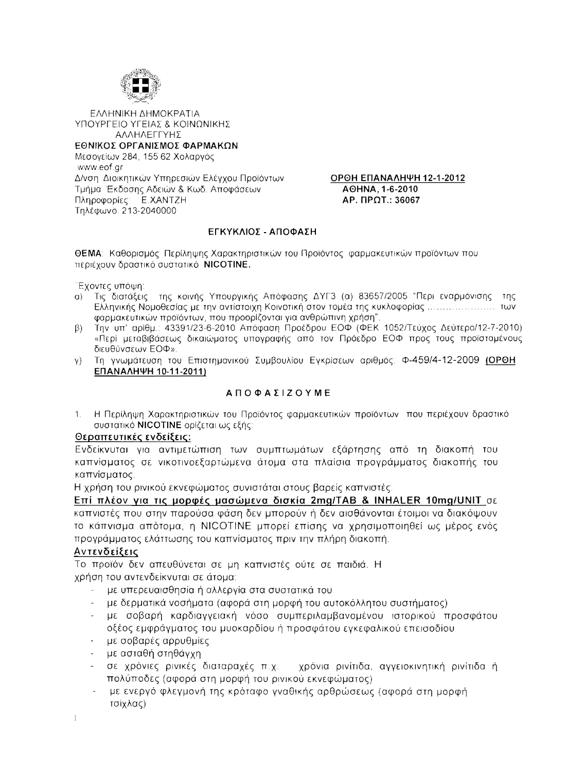

ΕΛΛΗΝΙΚΗ ΔΗΜΟΚΡΑΤΙΑ ΥΠΟΥΡΓΕΙΟ ΥΓΕΙΑΣ & ΚΟΙΝΩΝΙΚΗΣ ΑΛΛΗΛΕΓΓΥΗΣ

#### ΕΘΝΙΚΟΣ ΟΡΓΑΝΙΣΜΟΣ ΦΑΡΜΑΚΩΝ

Μεσογείων 284, 155 62 Χολαργός www.eof.gr Δ/νση Διοικητικών Υπηρεσιών Ελέγχου Προϊόντων Τμήμα Έκδοσης Αδειών & Κωδ. Αποφάσεων Πληροφορίες: Ε.ΧΑΝΤΖΗ Τηλέφωνο: 213-2040000

ОРОН ЕПАЛАЛНѰН 12-1-2012 AOHNA. 1-6-2010 AP. ΠΡΩΤ.: 36067

#### ΕΓΚΥΚΛΙΟΣ - ΑΠΟΦΑΣΗ

**ΘΕΜΑ**: Καθορισμός Περίληψης Χαρακτηριστικών του Προϊόντος φαρμακευτικών προϊόντων που περιέχουν δραστικό συστατικό NICOTINE.

Έχοντες υπόψη:

- α) Τις διατάξεις της κοινής Υπουργικής Απόφασης ΔΥΓ3 (α) 83657/2005 "Περι εναρμόνισης της Ελληνικής Νομοθεσίας με την αντίστοιχη Κοινοτική στον τομέα της κυκλοφορίας ..............................των φαρμακευτικών προϊόντων, που προορίζονται για ανθρώπινη χρήση",
- Την υπ' αρίθμ.: 43391/23-6-2010 Απόφαση Προέδρου ΕΟΦ (ΦΕΚ 1052/Τεύχος Δεύτερο/12-7-2010)  $\beta$ ) «Περί μεταβιβάσεως δικαιώματος υπογραφής από τον Πρόεδρο ΕΟΦ προς τους προϊσταμένους διευθύνσεων ΕΟΦ».
- γ) Τη γνωμάτευση του Επιστημονικού Συμβουλίου Εγκρίσεων αριθμός: Φ-459/4-12-2009 (ΟΡΘΗ ΕΠΑΝΑΛΗΨΗ 10-11-2011)

# **ΑΠΟΦΑΣΙΖΟΥΜΕ**

Η Περίληψη Χαρακτηριστικών του Προϊόντος φαρμακευτικών προϊόντων που περιέχουν δραστικό  $\mathbf{1}$ συστατικό NICOTINE ορίζεται ως εξής:

#### Θεραπευτικές ενδείξεις:

Ενδείκνυται για αντιμετώπιση των συμπτωμάτων εξάρτησης από τη διακοπή του καπνίσματος σε νικοτινοεξαρτώμενα άτομα στα πλαίσια προγράμματος διακοπής του καπνίσματος.

Η χρήση του ρινικού εκνεφώματος συνιστάται στους βαρείς καπνιστές.

Επί πλέον για τις μορφές μασώμενα δισκία 2mg/TAB & INHALER 10mg/UNIT σε καπνιστές που στην παρούσα φάση δεν μπορούν ή δεν αισθάνονται έτοιμοι να διακόψουν το κάπνισμα απότομα, η NICOTINE μπορεί επίσης να χρησιμοποιηθεί ως μέρος ενός προγράμματος ελάττωσης του καπνίσματος πριν την πλήρη διακοπή.

# Αντενδείξεις

Το προϊόν δεν απευθύνεται σε μη καπνιστές ούτε σε παιδιά. Η χρήση του αντενδείκνυται σε άτομα:

- με υπερευαισθησία ή αλλεργία στα συστατικά του
- με δερματικά νοσήματα (αφορά στη μορφή του αυτοκόλλητου συστήματος)
- με σοβαρή καρδιαγγειακή νόσο συμπεριλαμβανομένου ιστορικού προσφάτου οξέος εμφράγματος του μυοκαρδίου ή προσφάτου εγκεφαλικού επεισοδίου
- με σοβαρές αρρυθμίες
- με ασταθή στηθάγχη
- σε χρόνιες ρινικές διαταραχές π.χ. χρόνια ρινίτιδα, αγγειοκινητική ρινίτιδα ή πολύποδες (αφορά στη μορφή του ρινικού εκνεφώματος)
- με ενεργό φλεγμονή της κρόταφο γναθικής αρθρώσεως (αφορά στη μορφή τσίχλας)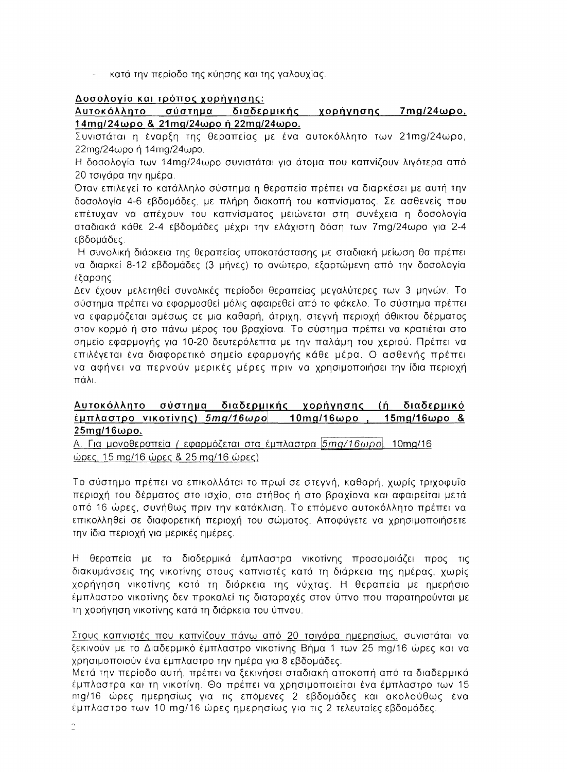κατά την περίοδο της κύησης και της γαλουχίας.

# Δοσολογία και τρόπος χορήγησης:

# <u>Αυτοκόλλητο σύστημα διαδερμικής χορήγησης 7mg/24ωρο,</u> 14mg/24ωρο & 21mg/24ωρο ή 22mg/24ωρο.

Συνιστάται η έναρξη της θεραπείας με ένα αυτοκόλλητο των 21mg/24ωρο, 22mg/24ωρο ή 14mg/24ωρο.

Η δοσολογία των 14mg/24ωρο συνιστάται για άτομα που καπνίζουν λιγότερα από 20 τσιγάρα την ημέρα.

Όταν επιλεγεί το κατάλληλο σύστημα η θεραπεία πρέπει να διαρκέσει με αυτή την δοσολογία 4-6 εβδομάδες, με πλήρη διακοπή του καπνίσματος. Σε ασθενείς που επέτυχαν να απέχουν του καπνίσματος μειώνεται στη συνέχεια η δοσολογία σταδιακά κάθε 2-4 εβδομάδες μέχρι την ελάχιστη δόση των 7mg/24ωρο για 2-4 εβδομάδες.

Η συνολική διάρκεια της θεραπείας υποκατάστασης με σταδιακή μείωση θα πρέπει να διαρκεί 8-12 εβδομάδες (3 μήνες) το ανώτερο, εξαρτώμενη από την δοσολογία έξαρσης.

Δεν έχουν μελετηθεί συνολικές περίοδοι θεραπείας μεγαλύτερες των 3 μηνών. Το σύστημα πρέπει να εφαρμοσθεί μόλις αφαιρεθεί από το φάκελο. Το σύστημα πρέπει να εφαρμόζεται αμέσως σε μια καθαρή, άτριχη, στεγνή περιοχή άθικτου δέρματος. στον κορμό ή στο πάνω μέρος του βραχίονα. Το σύστημα πρέπει να κρατιέται στο σημείο εφαρμογής για 10-20 δευτερόλεπτα με την παλάμη του χεριού. Πρέπει να επιλέγεται ένα διαφορετικό σημείο εφαρμογής κάθε μέρα. Ο ασθενής πρέπει να αφήνει να περνούν μερικές μέρες πριν να χρησιμοποιήσει την ίδια περιοχή πάλι.

#### <u>Αυτοκόλλητο σύστημα διαδερμικής χορήγησης (ή διαδερμικό</u> <u>έμπλαστρο νικοτίνης) 5mg/16ωρο τ</u> 10mg/16ωρο, 15mg/16ωρο & <u>25mg/16ωρο.</u>

A. Για μονοθεραπεία (εφαρμόζεται στα έμπλαστρα *5mg/16ωρο*), 10mg/16 <u>ώρες, 15 mg/16 ώρες & 25 mg/16 ώρες)</u>

Το σύστημα πρέπει να επικολλάται το πρωί σε στεγνή, καθαρή, χωρίς τριχοφυΐα περιοχή του δέρματος στο ισχίο, στο στήθος ή στο βραχίονα και αφαιρείται μετά από 16 ώρες, συνήθως πριν την κατάκλιση. Το επόμενο αυτοκόλλητο πρέπει να επικολληθεί σε διαφορετική περιοχή του σώματος. Αποφύγετε να χρησιμοποιήσετε την ίδια περιοχή για μερικές ημέρες.

Η θεραπεία με τα διαδερμικά έμπλαστρα νικοτίνης προσομοιάζει προς τις διακυμάνσεις της νικοτίνης στους καπνιστές κατά τη διάρκεια της ημέρας, χωρίς χορήγηση νικοτίνης κατά τη διάρκεια της νύχτας. Η θεραπεία με ημερήσιο έμπλαστρο νικοτίνης δεν προκαλεί τις διαταραχές στον ύπνο που παρατηρούνται με τη χορήγηση νικοτίνης κατά τη διάρκεια του ύπνου.

<u>Στους καπνιστές που καπνίζουν πάνω από 20 τσιγάρα ημερησίως,</u> συνιστάται να ξεκινούν με το Διαδερμικό έμπλαστρο νικοτίνης Βήμα 1 των 25 mg/16 ώρες και να χρησιμοποιούν ένα έμπλαστρο την ημέρα για 8 εβδομάδες.

Μετά την περίοδο αυτή, πρέπει να ξεκινήσει σταδιακή αποκοπή από τα διαδερμικά. έμπλαστρα και τη νικοτίνη. Θα πρέπει να χρησιμοποιείται ένα έμπλαστρο των 15. mg/16 ώρες ημερησίως για τις επόμενες 2 εβδομάδες και ακολούθως ένα έμπλαστρο των 10 mg/16 ώρες ημερησίως για τις 2 τελευταίες εβδομάδες.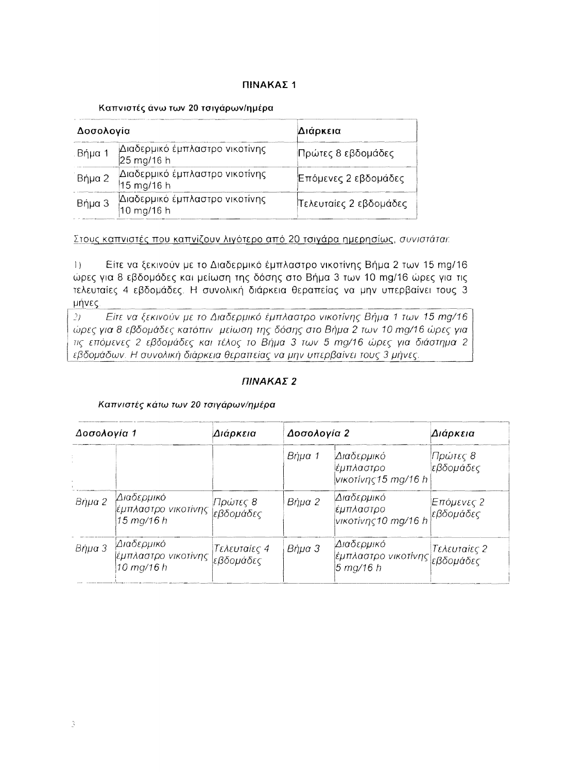#### ΠΙΝΑΚΑΣ 1

#### Καπνιστές άνω των 20 τσιγάρων/ημέρα

| Δοσολογία |                                                                      | Διάρκεια               |  |
|-----------|----------------------------------------------------------------------|------------------------|--|
| . Βήμα 1  | Διαδερμικό έμπλαστρο νικοτίνης<br>25 mg/16 h                         | Πρώτες 8 εβδομάδες     |  |
| Βήμα 2    | Διαδερμικό έμπλαστρο νικοτίνης<br>$15 \,\mathrm{mg}/16$ h            | Επόμενες 2 εβδομάδες   |  |
| Βήμα 3    | Διαδερμικό έμπλαστρο νικοτίνης<br>$10 \,\mathrm{mg}/16 \,\mathrm{h}$ | Τελευταίες 2 εβδομάδες |  |

Στους καπνιστές που καπνίζουν λιγότερο από 20 τσιγάρα ημερησίως, συνιστάται:

Είτε να ξεκινούν με το Διαδερμικό έμπλαστρο νικοτίνης Βήμα 2 των 15 mg/16  $| \ \rangle$ ώρες για 8 εβδομάδες και μείωση της δόσης στο Βήμα 3 των 10 mg/16 ώρες για τις τελευταίες 4 εβδομάδες. Η συνολική διάρκεια θεραπείας να μην υπερβαίνει τους 3 μήνες.

 $21$ Είτε να ξεκινούν με το Διαδερμικό έμπλαστρο νικοτίνης Βήμα 1 των 15 mg/16 ώρες για 8 εβδομάδες κατόπιν μείωση της δόσης στο Βήμα 2 των 10 mg/16 ώρες για τις επόμενες 2 εβδομάδες και τέλος το Βήμα 3 των 5 mg/16 ώρες για διάστημα 2 εβδομάδων. Η συνολική διάρκεια θεραπείας να μην υπερβαίνει τους 3 μήνες.

### ΠΙΝΑΚΑΣ<sub>2</sub>

#### Καπνιστές κάτω των 20 τσιγάρων/ημέρα

| Δοσολογία 1 |                                                    | Διάρκεια                  | Δοσολογία 2 |                                                            | Διάρκεια               |
|-------------|----------------------------------------------------|---------------------------|-------------|------------------------------------------------------------|------------------------|
|             |                                                    |                           | Βήμα 1      | Διαδερμικό<br>έμπλαστρο<br>νικοτίνης 15 mg/16 h            | Πρώτες 8 <br>εβδομάδες |
| Βήμα 2      | Διαδερμικό<br> έμπλαστρο νικοτίνης  <br>15 mg/16 h | Πρώτες 8<br>εβδομάδες     | Βήμα 2      | Διαδερμικό<br>έμπλαστρο<br>Ινικοτίνης 10 mg/16 h εβδομάδες | Επόμενες 2             |
| Βήμα 3      | Διαδερμικό <br> έμπλαστρο νικοτίνης<br>10 mg/16 h  | Τελευταίες 4<br>εβδομάδες | Βήμα 3      | Διαδερμικό<br>έμπλαστρο νικοτίνης εβδομάδες<br>5 mg/16 h   | Τελευταίες 2           |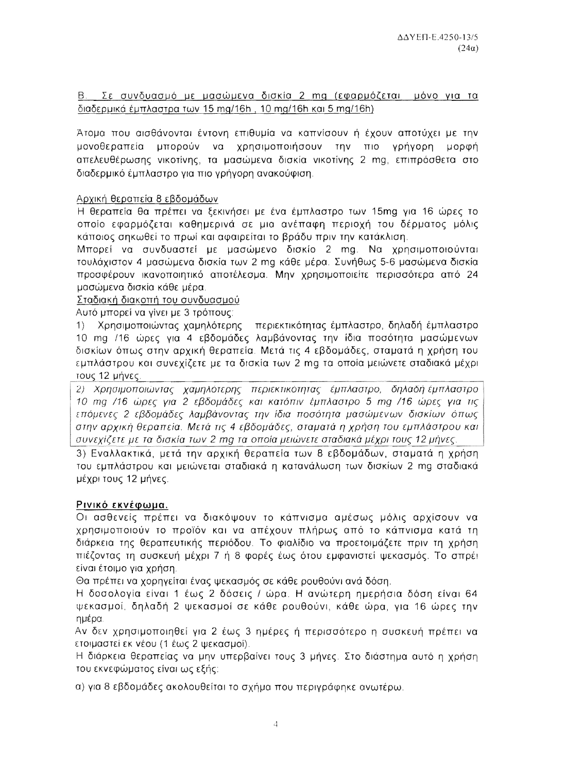B. Σε συνδυασμό με μασώμενα δισκία 2 mg (εφαρμόζεται μόνο για τα διαδερμικά έμπλαστρα των 15 mg/16h, 10 mg/16h και 5 mg/16h)

Άτομα που αισθάνονται έντονη επιθυμία να καπνίσουν ή έχουν αποτύχει με την μπορούν να χρησιμοποιήσουν την πιο γρήγορη μορφή μονοθεραπεία απελευθέρωσης νικοτίνης, τα μασώμενα δισκία νικοτίνης 2 mg, επιπρόσθετα στο διαδερμικό έμπλαστρο για πιο γρήγορη ανακούφιση.

#### Αρχική θεραπεία 8 εβδομάδων

Η θεραπεία θα πρέπει να ξεκινήσει με ένα έμπλαστρο των 15mg για 16 ώρες το οποίο εφαρμόζεται καθημερινά σε μια ανέπαφη περιοχή του δέρματος μόλις κάποιος σηκωθεί το πρωί και αφαιρείται το βράδυ πριν την κατάκλιση.

Μπορεί να συνδυαστεί με μασώμενο δισκίο 2 mg. Να χρησιμοποιούνται τουλάχιστον 4 μασώμενα δισκία των 2 mg κάθε μέρα. Συνήθως 5-6 μασώμενα δισκία προσφέρουν ικανοποιητικό αποτέλεσμα. Μην χρησιμοποιείτε περισσότερα από 24 μασώμενα δισκία κάθε μέρα.

Σταδιακή διακοπή του συνδυασμού

Αυτό μπορεί να γίνει με 3 τρόπους:

Χρησιμοποιώντας χαμηλότερης - περιεκτικότητας έμπλαστρο, δηλαδή έμπλαστρο  $1)$ 10 mg /16 ώρες για 4 εβδομάδες λαμβάνοντας την ίδια ποσότητα μασώμενων δισκίων όπως στην αρχική θεραπεία. Μετά τις 4 εβδομάδες, σταματά η χρήση του εμπλάστρου και συνεχίζετε με τα δισκία των 2 mg τα οποία μειώνετε σταδιακά μέχρι τους 12 μήνες.

2) Χρησιμοποιώντας χαμηλότερης περιεκτικότητας έμπλαστρο, δηλαδή-έμπλαστρο 10 mg /16 ώρες για 2 εβδομάδες και κατόπιν έμπλαστρο 5 mg /16 ώρες για τις επόμενες 2 εβδομάδες λαμβάνοντας την ίδια ποσότητα μασώμενων δισκίων όπως στην αρχική θεραπεία. Μετά τις 4 εβδομάδες, σταματά η χρήση του εμπλάστρου και συνεχίζετε με τα δισκία των 2 mg τα οποία μειώνετε σταδιακά μέχρι τους 12 μήνες.

3) Εναλλακτικά, μετά την αρχική θεραπεία των 8 εβδομάδων, σταματά η χρήση του εμπλάστρου και μειώνεται σταδιακά η κατανάλωση των δισκίων 2 mg σταδιακά μέχρι τους 12 μήνες.

# Ρινικό εκνέφωμα.

Οι ασθενείς πρέπει να διακόψουν το κάπνισμα αμέσως μόλις αρχίσουν να χρησιμοποιούν το προϊόν και να απέχουν πλήρως από το κάπνισμα κατά τη διάρκεια της θεραπευτικής περιόδου. Το φιαλίδιο να προετοιμάζετε πριν τη χρήση πιέζοντας τη συσκευή μέχρι 7 ή 8 φορές έως ότου εμφανιστεί ψεκασμός. Το σπρέι είναι έτοιμο για χρήση.

Θα πρέπει να χορηγείται ένας ψεκασμός σε κάθε ρουθούνι ανά δόση.

Η δοσολογία είναι 1 έως 2 δόσεις / ώρα. Η ανώτερη ημερήσια δόση είναι 64 ψεκασμοί, δηλαδή 2 ψεκασμοί σε κάθε ρουθούνι, κάθε ώρα, για 16 ώρες την ημέρα.

Αν δεν χρησιμοποιηθεί για 2 έως 3 ημέρες ή περισσότερο η συσκευή πρέπει να ετοιμαστεί εκ νέου (1 έως 2 ψεκασμοί).

Η διάρκεια θεραπείας να μην υπερβαίνει τους 3 μήνες. Στο διάστημα αυτό η χρήση του εκνεφώματος είναι ως εξής:

α) για 8 εβδομάδες ακολουθείται το σχήμα που περιγράφηκε ανωτέρω.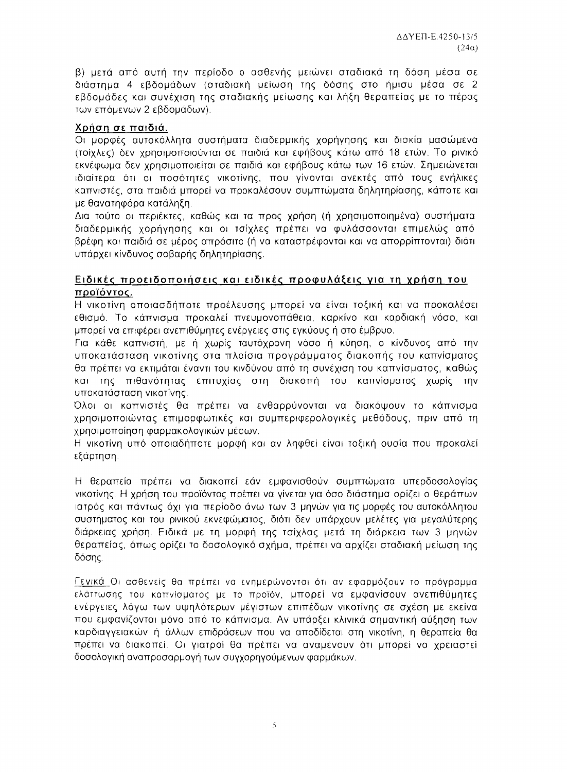β) μετά από αυτή την περίοδο ο ασθενής μειώνει σταδιακά τη δόση μέσα σε διάστημα 4 εβδομάδων (σταδιακή μείωση της δόσης στο ήμισυ μέσα σε 2 εβδομάδες και συνέχιση της σταδιακής μείωσης και λήξη θεραπείας με το πέρας των επόμενων 2 εβδομάδων).

# Χρήση σε παιδιά.

Οι μορφές αυτοκόλλητα συστήματα διαδερμικής χορήγησης και δισκία μασώμενα (τσίχλες) δεν χρησιμοποιούνται σε παιδιά και εφήβους κάτω από 18 ετών. Το ρινικό εκνέφωμα δεν χρησιμοποιείται σε παιδιά και εφήβους κάτω των 16 ετών. Σημειώνεται ιδιαίτερα ότι οι ποσότητες νικοτίνης, που γίνονται ανεκτές από τους ενήλικες καπνιστές, στα παιδιά μπορεί να προκαλέσουν συμπτώματα δηλητηρίασης, κάποτε και με θανατηφόρα κατάληξη.

Δια τούτο οι περιέκτες, καθώς και τα προς χρήση (ή χρησιμοποιημένα) συστήματα διαδερμικής χορήγησης και οι τσίχλες πρέπει να φυλάσσονται επιμελώς από βρέφη και παιδιά σε μέρος απρόσιτο (ή να καταστρέφονται και να απορρίπτονται) διότι υπάρχει κίνδυνος σοβαρής δηλητηρίασης.

# Ειδικές προειδοποιήσεις και ειδικές προφυλάξεις για τη χρήση του προϊόντος.

Η νικοτίνη οποιασδήποτε προέλευσης μπορεί να είναι τοξική και να προκαλέσει εθισμό. Το κάπνισμα προκαλεί πνευμονοπάθεια, καρκίνο και καρδιακή νόσο, και μπορεί να επιφέρει ανεπιθύμητες ενέργειες στις εγκύους ή στο έμβρυο.

Για κάθε καπνιστή, με ή χωρίς ταυτόχρονη νόσο ή κύηση, ο κίνδυνος από την υποκατάσταση νικοτίνης στα πλαίσια προγράμματος διακοπής του καπνίσματος θα πρέπει να εκτιμάται έναντι του κινδύνου από τη συνέχιση του καπνίσματος, καθώς και της πιθανότητας επιτυχίας στη διακοπή του καπνίσματος χωρίς την υποκατάσταση νικοτίνης.

Όλοι οι καπνιστές θα πρέπει να ενθαρρύνονται να διακόψουν το κάπνισμα χρησιμοποιώντας επιμορφωτικές και συμπεριφερολογικές μεθόδους, πριν από τη χρησιμοποίηση φαρμακολογικών μέσων.

Η νικοτίνη υπό οποιαδήποτε μορφή και αν ληφθεί είναι τοξική ουσία που προκαλεί εξάρτηση.

Η θεραπεία πρέπει να διακοπεί εάν εμφανισθούν συμπτώματα υπερδοσολογίας νικοτίνης. Η χρήση του προϊόντος πρέπει να γίνεται για όσο διάστημα ορίζει ο θεράπων ιατρός και πάντως όχι για περίοδο άνω των 3 μηνών για τις μορφές του αυτοκόλλητου συστήματος και του ρινικού εκνεφώματος, διότι δεν υπάρχουν μελέτες για μεγαλύτερης διάρκειας χρήση. Ειδικά με τη μορφή της τσίχλας μετά τη διάρκεια των 3 μηνών θεραπείας, όπως ορίζει το δοσολογικό σχήμα, πρέπει να αρχίζει σταδιακή μείωση της δόσης.

Γενικά Οι ασθενείς θα πρέπει να ενημερώνονται ότι αν εφαρμόζουν το πρόγραμμα ελάττωσης του καπνίσματος με το προϊόν, μπορεί να εμφανίσουν ανεπιθύμητες ενέργειες λόγω των υψηλότερων μέγιστων επιπέδων νικοτίνης σε σχέση με εκείνα που εμφανίζονται μόνο από το κάπνισμα. Αν υπάρξει κλινικά σημαντική αύξηση των καρδιαγγειακών ή άλλων επιδράσεων που να αποδίδεται στη νικοτίνη, η θεραπεία θα πρέπει να διακοπεί. Οι γιατροί θα πρέπει να αναμένουν ότι μπορεί να χρειαστεί δοσολογική αναπροσαρμογή των συγχορηγούμενων φαρμάκων.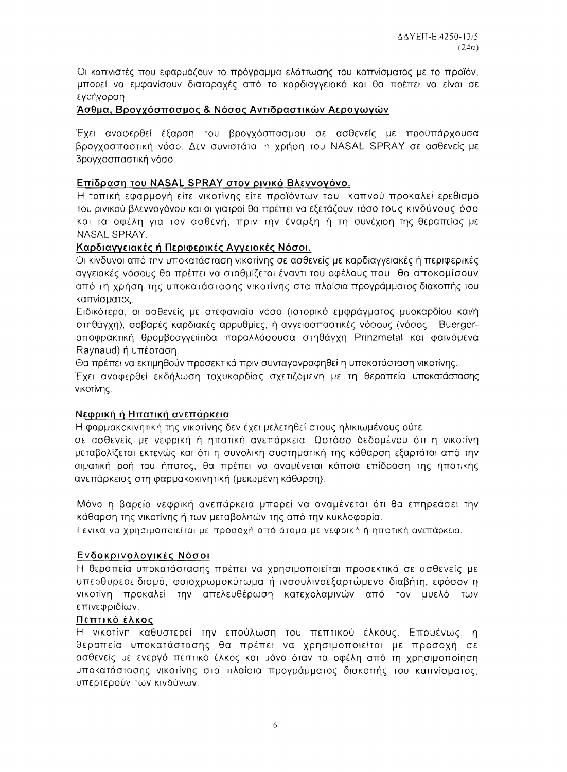Οι καπνιστές που εφαρμόζουν το πρόγραμμα ελάττωσης του καπνίσματος με το προϊόν, μπορεί να εμφανίσουν διαταραχές από το καρδιαγγειακό και θα πρέπει να είναι σε εγρήγορση.

# Ασθμα, Βρογχόσπασμος & Νόσος Αντιδραστικών Αεραγωγών

Έχει αναφερθεί έξαρση του βρογχόσπασμου σε ασθενείς με προϋπάρχουσα βρογχοσπαστική νόσο. Δεν συνιστάται η χρήση του NASAL SPRAY σε ασθενείς με βρογχοσπαστική νόσο.

# Επίδραση του NASAL SPRAY στον ρινικό Βλεννογόνο.

Η τοπική εφαρμογή είτε νικοτίνης είτε προϊόντων του καπνού προκαλεί ερεθισμό του ρινικού βλεννογόνου και οι γιατροί θα πρέπει να εξετάζουν τόσο τους κινδύνους όσο και τα οφέλη για τον ασθενή, πριν την έναρξη ή τη συνέχιση της θεραπείας με NASAL SPRAY.

### Καρδιαγγειακές ή Περιφερικές Αγγειακές Νόσοι.

Οι κίνδυνοι από την υποκατάσταση νικοτίνης σε ασθενείς με καρδιαγγειακές ή περιφερικές αγγειακές νόσους θα πρέπει να σταθμίζεται έναντι του οφέλους που θα αποκομίσουν από τη χρήση της υποκατάστασης νικοτίνης στα πλαίσια προγράμματος διακοπής του καπνίσματος.

Ειδικότερα, οι ασθενείς με στεφανιαία νόσο (ιστορικό εμφράγματος μυοκαρδίου και/ή στηθάγχη), σοβαρές καρδιακές αρρυθμίες, ή αγγειοσπαστικές νόσους (νόσος Buergerαποφρακτική θρομβοαγγειίτιδα παραλλάσουσα στηθάγχη Prinzmetal και φαινόμενα Raynaud) ή υπέρταση.

Θα πρέπει να εκτιμηθούν προσεκτικά πριν συνταγογραφηθεί η υποκατάσταση νικοτίνης.

Έχει αναφερθεί εκδήλωση ταχυκαρδίας σχετιζόμενη με τη θεραπεία υποκατάστασης νικοτίνης.

#### Νεφρική ή Ηπατική ανεπάρκεια

Η φαρμακοκινητική της νικοτίνης δεν έχει μελετηθεί στους ηλικιωμένους ούτε

σε ασθενείς με νεφρική ή ηπατική ανεπάρκεια. Ωστόσο δεδομένου ότι η νικοτίνη μεταβολίζεται εκτενώς και ότι η συνολική συστηματική της κάθαρση εξαρτάται από την αιματική ροή του ήπατος, θα πρέπει να αναμένεται κάποια επίδραση της ηπατικής ανεπάρκειας στη φαρμακοκινητική (μειωμένη κάθαρση).

Μόνο η βαρεία νεφρική ανεπάρκεια μπορεί να αναμένεται ότι θα επηρεάσει την κάθαρση της νικοτίνης ή των μεταβολιτών της από την κυκλοφορία.

Γενικά να χρησιμοποιείται με προσοχή από άτομα με νεφρική ή ηπατική ανεπάρκεια.

# Ενδοκρινολογικές Νόσοι

Η θεραπεία υποκατάστασης πρέπει να χρησιμοποιείται προσεκτικά σε ασθενείς με υπερθυρεοειδισμό, φαιοχρωμοκύτωμα ή ινσουλινοεξαρτώμενο διαβήτη, εφόσον η νικοτίνη προκαλεί την απελευθέρωση κατεχολαμινών από τον μυελό των επινεφριδίων.

#### Πεπτικό έλκος

Η νικοτίνη καθυστερεί την επούλωση του πεπτικού έλκους. Επομένως, η θεραπεία υποκατάστασης θα πρέπει να χρησιμοποιείται με προσοχή σε ασθενείς με ενεργό πεπτικό έλκος και μόνο όταν τα οφέλη από τη χρησιμοποίηση υποκατάστασης νικοτίνης στα πλαίσια προγράμματος διακοπής του καπνίσματος, υπερτερούν των κινδύνων.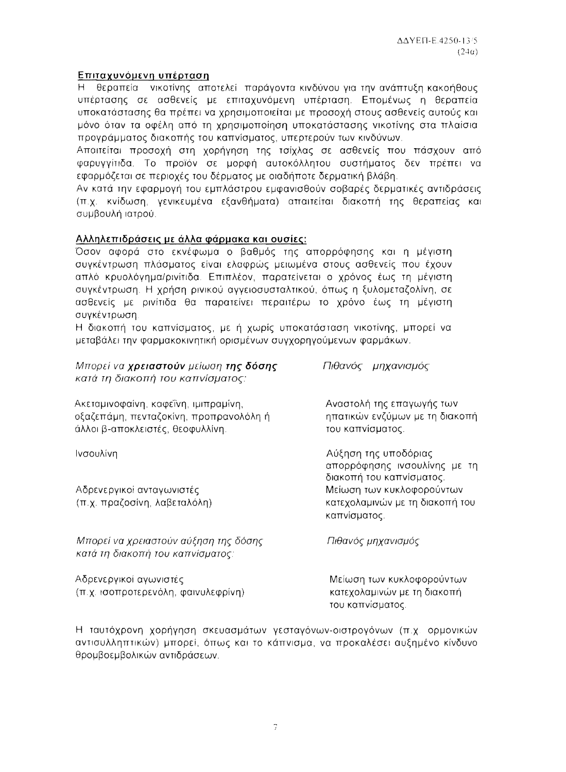# Επιταχυνόμενη υπέρταση

θεραπεία νικοτίνης αποτελεί παράγοντα κινδύνου για την ανάπτυξη κακοήθους  $H$ υπέρτασης σε ασθενείς με επιταχυνόμενη υπέρταση. Επομένως η θεραπεία υποκατάστασης θα πρέπει να χρησιμοποιείται με προσοχή στους ασθενείς αυτούς και μόνο όταν τα οφέλη από τη χρησιμοποίηση υποκατάστασης νικοτίνης στα πλαίσια προγράμματος διακοπής του καπνίσματος, υπερτερούν των κινδύνων.

Αποιτείται προσοχή στη χορήγηση της τσίχλας σε ασθενείς που πάσχουν από φαρυγγίτιδα. Το προϊόν σε μορφή αυτοκόλλητου συστήματος δεν πρέπει να εφαρμόζεται σε περιοχές του δέρματος με οιαδήποτε δερματική βλάβη.

Αν κατά την εφαρμογή του εμπλάστρου εμφανισθούν σοβαρές δερματικές αντιδράσεις (π.χ. κνίδωση, γενικευμένα εξανθήματα) απαιτείται διακοπή της θεραπείας και συμβουλή ιατρού.

### Αλληλεπιδράσεις με άλλα φάρμακα και ουσίες:

Όσον αφορά στο εκνέφωμα ο βαθμός της απορρόφησης και η μέγιστη συγκέντρωση πλάσματος είναι ελαφρώς μειωμένα στους ασθενείς που έχουν απλό κρυολόγημα/ρινίτιδα. Επιπλέον, παρατείνεται ο χρόνος έως τη μέγιστη συγκέντρωση. Η χρήση ρινικού αγγειοσυσταλτικού, όπως η ξυλομεταζολίνη, σε ασθενείς με ρινίτιδα θα παρατείνει περαιτέρω το χρόνο έως τη μέγιστη συγκέντρωση.

Η διακοπή του καπνίσματος, με ή χωρίς υποκατάσταση νικοτίνης, μπορεί να μεταβάλει την φαρμακοκινητική ορισμένων συγχορηγούμενων φαρμάκων.

| Μπορεί να χρειαστούν μείωση της δόσης<br>κατά τη διακοπή του καπνίσματος:                                          | Πιθανός μηχανισμός                                                               |  |  |
|--------------------------------------------------------------------------------------------------------------------|----------------------------------------------------------------------------------|--|--|
| Ακεταμινοφαίνη, καφεΐνη, ιμιπραμίνη,<br>οξαζεπάμη, πενταζοκίνη, προπρανολόλη ή<br>άλλοι β-αποκλειστές, θεοφυλλίνη. | Αναστολή της επαγωγής των<br>ηπατικών ενζύμων με τη διακοπή<br>του καπνίσματος.  |  |  |
| Ινσουλίνη                                                                                                          | Αύξηση της υποδόριας<br>απορρόφησης ινσουλίνης με τη<br>διακοπή του καπνίσματος. |  |  |
| Αδρενεργικοί ανταγωνιστές<br>(π.χ. πραζοσίνη, λαβεταλόλη)                                                          | Μείωση των κυκλοφορούντων<br>κατεχολαμινών με τη διακοπή του<br>καπνίσματος.     |  |  |
| Μπορεί να χρειαστούν αύξηση της δόσης<br>κατά τη διακοπή του καπνίσματος:                                          | Πιθανός μηχανισμός                                                               |  |  |
| Αδρενεργικοί αγωνιστές<br>(π.χ. ισοπροτερενόλη, φαινυλεφρίνη)                                                      | Μείωση των κυκλοφορούντων<br>κατεχολαμινών με τη διακοπή<br>του καπνίσματος.     |  |  |

Η ταυτόχρονη χορήγηση σκευασμάτων γεσταγόνων-οιστρογόνων (π.χ. ορμονικών αντισυλληπτικών) μπορεί, όπως και το κάπνισμα, να προκαλέσει αυξημένο κίνδυνο θρομβοεμβολικών αντιδράσεων.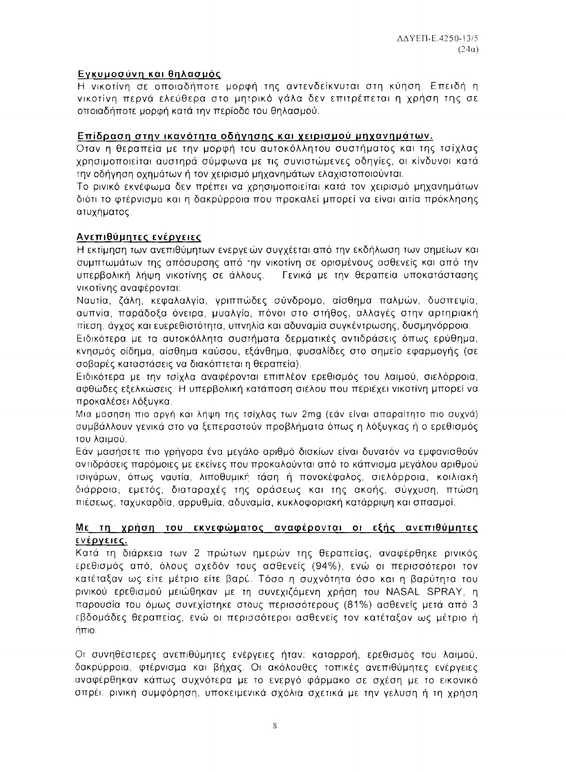# Εγκυμοσύνη και θηλασμός

Η νικοτίνη σε οποιαδήποτε μορφή της αντενδείκνυται στη κύηση. Επειδή η νικοτίνη περνά ελεύθερα στο μητρικό γάλα δεν επιτρέπεται η χρήση της σε οποιαδήποτε μορφή κατά την περίοδο του θηλασμού.

#### Επίδραση στην ικανότητα οδήγησης και χειρισμού μηχανημάτων.

Όταν η θεραπεία με την μορφή του αυτοκόλλητου συστήματος και της τσίχλας χρησιμοποιείται αυστηρά σύμφωνα με τις συνιστώμενες οδηγίες, οι κίνδυνοι κατά την οδήγηση οχημάτων ή τον χειρισμό μηχανημάτων ελαχιστοποιούνται.

Το ρινικό εκνέφωμα δεν πρέπει να χρησιμοποιείται κατά τον χειρισμό μηχανημάτων διότι το φτέρνισμα και η δακρύρροια που προκαλεί μπορεί να είναι αιτία πρόκλησης ατυχήματος.

### Ανεπιθύμητες ενέργειες

Η εκτίμηση των ανεπιθύμητων ενεργειών συγχέεται από την εκδήλωση των σημείων και συμπτωμάτων της απόσυρσης από την νικοτίνη σε ορισμένους ασθενείς και από την υπερβολική λήψη νικοτίνης σε άλλους. Γενικά με την θεραπεία υποκατάστασης νικοτίνης αναφέρονται:

Ναυτία, ζάλη, κεφαλαλγία, γριππώδες σύνδρομο, αίσθημα παλμών, δυσπεψία, αϋπνία, παράδοξα όνειρα, μυαλγία, πόνοι στο στήθος, αλλαγές στην αρτηριακή πίεση, άγχος και ευερεθιστότητα, υπνηλία και αδυναμία συγκέντρωσης, δυσμηνόρροια.

Ειδικότερα με τα αυτοκόλλητα συστήματα δερματικές αντιδράσεις όπως ερύθημα, κνησμός οίδημα, αίσθημα καύσου, εξάνθημα, φυσαλίδες στο σημείο εφαρμογής (σε σοβαρές καταστάσεις να διακόπτεται η θεραπεία).

Ειδικότερα με την τσίχλα αναφέρονται επιπλέον ερεθισμός του λαιμού, σιελόρροια, αφθώδες εξελκώσεις. Η υπερβολική κατάποση σιέλου που περιέχει νικοτίνη μπορεί να προκαλέσει λόξυγκα.

Μια μάσηση πιο αργή και λήψη της τσίχλας των 2mg (εάν είναι απαραίτητο πιο συχνά) συμβάλλουν γενικά στο να ξεπεραστούν προβλήματα όπως η λόξυγκας ή ο ερεθισμός του λαιμού.

Εάν μασήσετε πιο γρήγορα ένα μεγάλο αριθμό δισκίων είναι δυνατόν να εμφανισθούν αντιδράσεις παρόμοιες με εκείνες που προκαλούνται από το κάπνισμα μεγάλου αριθμού τσιγάρων, όπως ναυτία, λιποθυμική τάση ή πονοκέφαλος, σιελόρροια, κοιλιακή διάρροια, εμετός, διαταραχές της οράσεως και της ακοής, σύγχυση, πτώση πιέσεως, ταχυκαρδία, αρρυθμία, αδυναμία, κυκλοφοριακή κατάρριψη και σπασμοί.

#### Με τη χρήση του εκνεφώματος αναφέρονται οι εξής ανεπιθύμητες ενέργειες.

Κατά τη διάρκεια των 2 πρώτων ημερών της θεραπείας, αναφέρθηκε ρινικός ερεθισμός από, όλους σχεδόν τους ασθενείς (94%), ενώ οι περισσότεροι τον κατέταξαν ως είτε μέτριο είτε βαρύ. Τόσο η συχνότητα όσο και η βαρύτητα του ρινικού ερεθισμού μειώθηκαν με τη συνεχιζόμενη χρήση του NASAL SPRAY, η παρουσία του όμως συνεχίστηκε στους περισσότερους (81%) ασθενείς μετά από 3 εβδομάδες θεραπείας, ενώ οι περισσότεροι ασθενείς τον κατέταξαν ως μέτριο ή ήπιο.

Οι συνηθέστερες ανεπιθύμητες ενέργειες ήταν: καταρροή, ερεθισμός του λαιμού, δακρύρροια, φτέρνισμα και βήχας. Οι ακόλουθες τοπικές ανεπιθύμητες ενέργειες αναφέρθηκαν κάπως συχνότερα με το ενεργό φάρμακο σε σχέση με το εικονικό σπρέι: ρινική συμφόρηση, υποκειμενικά σχόλια σχετικά με την γελυση ή τη χρήση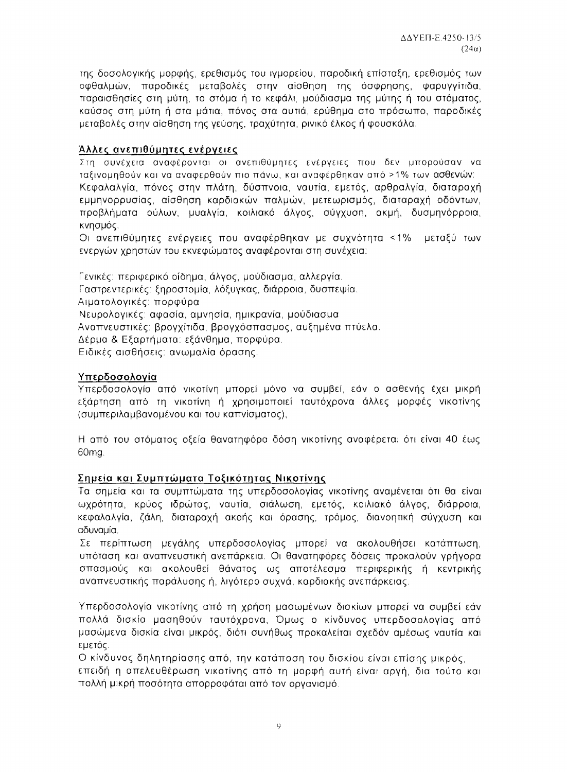της δοσολογικής μορφής, ερεθισμός του ιγμορείου, παροδική επίσταξη, ερεθισμός των οφθαλμών, παροδικές μεταβολές στην αίσθηση της όσφρησης, φαρυγγίτιδα, παραισθησίες στη μύτη, το στόμα ή το κεφάλι, μούδιασμα της μύτης ή του στόματος, καύσος στη μύτη ή στα μάτια, πόνος στα αυτιά, ερύθημα στο πρόσωπο, παροδικές μεταβολές στην αίσθηση της γεύσης, τραχύτητα, ρινικό έλκος ή φουσκάλα.

### Άλλες ανεπιθύμητες ενέργειες

Στη συνέχεια αναφέρονται οι ανεπιθύμητες ενέργειες που δεν μπορούσαν να ταξινομηθούν και να αναφερθούν πιο πάνω, και αναφέρθηκαν από >1% των ασθενών: Κεφαλαλγία, πόνος στην πλάτη, δύσπνοια, ναυτία, εμετός, αρθραλγία, διαταραχή εμμηνορρυσίας, αίσθηση καρδιακών παλμών, μετεωρισμός, διαταραχή οδόντων, προβλήματα ούλων, μυαλγία, κοιλιακό άλγος, σύγχυση, ακμή, δυσμηνόρροια, κνησμός.

Οι ανεπιθύμητες ενέργειες που αναφέρθηκαν με συχνότητα <1% μεταξύ των ενεργών χρηστών του εκνεφώματος αναφέρονται στη συνέχεια:

Γενικές: περιφερικό οίδημα, άλγος, μούδιασμα, αλλεργία. Γαστρεντερικές: ξηροστομία, λόξυγκας, διάρροια, δυσπεψία. Αιματολογικές: πορφύρα Νευρολογικές: αφασία, αμνησία, ημικρανία, μούδιασμα Αναπνευστικές: βρογχίτιδα, βρογχόσπασμος, αυξημένα πτύελα. Δέρμα & Εξαρτήματα: εξάνθημα, πορφύρα. Ειδικές αισθήσεις: ανωμαλία όρασης.

### Υπερδοσολογία

Υπερδοσολογία από νικοτίνη μπορεί μόνο να συμβεί, εάν ο ασθενής έχει μικρή εξάρτηση από τη νικοτίνη ή χρησιμοποιεί ταυτόχρονα άλλες μορφές νικοτίνης (συμπεριλαμβανομένου και του καπνίσματος),

Η από του στόματος οξεία θανατηφόρα δόση νικοτίνης αναφέρεται ότι είναι 40 έως 60<sub>mg</sub>

# Σημεία και Συμπτώματα Τοξικότητας Νικοτίνης

Τα σημεία και τα συμπτώματα της υπερδοσολογίας νικοτίνης αναμένεται ότι θα είναι ωχρότητα, κρύος ιδρώτας, ναυτία, σιάλωση, εμετός, κοιλιακό άλγος, διάρροια, κεφαλαλγία, ζάλη, διαταραχή ακοής και όρασης, τρόμος, διανοητική σύγχυση και αδυναμία.

Σε περίπτωση μεγάλης υπερδοσολογίας μπορεί να ακολουθήσει κατάπτωση, υπόταση και αναπνευστική ανεπάρκεια. Οι θανατηφόρες δόσεις προκαλούν γρήγορα σπασμούς και ακολουθεί θάνατος ως αποτέλεσμα περιφερικής ή κεντρικής αναπνευστικής παράλυσης ή, λιγότερο συχνά, καρδιακής ανεπάρκειας.

Υπερδοσολογία νικοτίνης από τη χρήση μασωμένων δισκίων μπορεί να συμβεί εάν πολλά δισκία μασηθούν ταυτόχρονα, Όμως ο κίνδυνος υπερδοσολογίας από μασώμενα δισκία είναι μικρός, διότι συνήθως προκαλείται σχεδόν αμέσως ναυτία και εμετός.

Ο κίνδυνος δηλητηρίασης από, την κατάποση του δισκίου είναι επίσης μικρός, επειδή η απελευθέρωση νικοτίνης από τη μορφή αυτή είναι αργή, δια τούτο και πολλή μικρή ποσότητα απορροφάται από τον οργανισμό.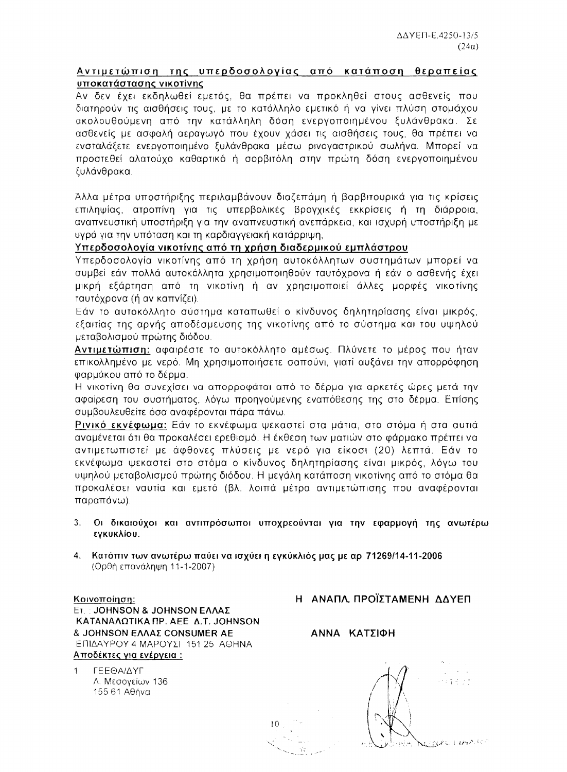#### Αντιμετώπιση της υπερδοσολογίας από κατάποση θεραπείας υποκατάστασης νικοτίνης

Αν δεν έχει εκδηλωθεί εμετός, θα πρέπει να προκληθεί στους ασθενείς που διατηρούν τις αισθήσεις τους, με το κατάλληλο εμετικό ή να γίνει πλύση στομάχου ακολουθούμενη από την κατάλληλη δόση ενεργοποιημένου ξυλάνθρακα. Σε ασθενείς με ασφαλή αεραγωγό που έχουν χάσει τις αισθήσεις τους. θα πρέπει να ενσταλάξετε ενεργοποιημένο ξυλάνθρακα μέσω ρινογαστρικού σωλήνα. Μπορεί να προστεθεί αλατούχο καθαρτικό ή σορβιτόλη στην πρώτη δόση ενεργοποιημένου ξυλάνθρακα.

Άλλα μέτρα υποστήριξης περιλαμβάνουν διαζεπάμη ή βαρβιτουρικά για τις κρίσεις επιληψίας, ατροπίνη για τις υπερβολικές βρογχικές εκκρίσεις ή τη διάρροια, αναπνευστική υποστήριξη για την αναπνευστική ανεπάρκεια, και ισχυρή υποστήριξη με υγρά για την υπόταση και τη καρδιαγγειακή κατάρριψη,

### Υπερδοσολογία νικοτίνης από τη χρήση διαδερμικού εμπλάστρου

Υπερδοσολογία νικοτίνης από τη χρήση αυτοκόλλητων συστημάτων μπορεί να συμβεί εάν πολλά αυτοκόλλητα χρησιμοποιηθούν ταυτόχρονα ή εάν ο ασθενής έχει μικρή εξάρτηση από τη νικοτίνη ή αν χρησιμοποιεί άλλες μορφές νικοτίνης ταυτόχρονα (ή αν καπνίζει).

Εάν το αυτοκόλλητο σύστημα καταπωθεί ο κίνδυνος δηλητηρίασης είναι μικρός, εξαιτίας της αργής αποδέσμευσης της νικοτίνης από το σύστημα και του υψηλού μεταβολισμού πρώτης διόδου.

Αντιμετώπιση: αφαιρέστε το αυτοκόλλητο αμέσως. Πλύνετε το μέρος που ήταν επικολλημένο με νερό. Μη χρησιμοποιήσετε σαπούνι, γιατί αυξάνει την απορρόφηση φαρμάκου από το δέρμα.

Η νικοτίνη θα συνεχίσει να απορροφάται από το δέρμα για αρκετές ώρες μετά την αφαίρεση του συστήματος, λόγω προηγούμενης εναπόθεσης της στο δέρμα. Επίσης συμβουλευθείτε όσα αναφέρονται πάρα πάνω.

Ρινικό εκνέφωμα: Εάν το εκνέφωμα ψεκαστεί στα μάτια, στο στόμα ή στα αυτιά αναμένεται ότι θα προκαλέσει ερεθισμό. Η έκθεση των ματιών στο φάρμακο πρέπει να αντιμετωπιστεί με άφθονες πλύσεις με νερό για είκοσι (20) λεπτά. Εάν το εκνέφωμα ψεκαστεί στο στόμα ο κίνδυνος δηλητηρίασης είναι μικρός, λόγω του υψηλού μεταβολισμού πρώτης διόδου. Η μεγάλη κατάποση νικοτίνης από το στόμα θα προκαλέσει ναυτία και εμετό (βλ. λοιπά μέτρα αντιμετώπισης που αναφέρονται παραπάνω).

- Οι δικαιούχοι και αντιπρόσωποι υποχρεούνται για την εφαρμογή της ανωτέρω  $3.$ εγκυκλίου.
- 4. Κατόπιν των ανωτέρω παύει να ισχύει η εγκύκλιός μας με αρ 71269/14-11-2006 (Ορθή επανάληψη 11-1-2007)

Κοινοποίηση: **ET.: JOHNSON & JOHNSON EAAAΣ** ΚΑΤΑΝΑΛΩΤΙΚΑ ΠΡ. ΑΕΕ Δ.Τ. JOHNSON **& JOHNSON EAAAE CONSUMER AE** ΕΠΙΔΑΥΡΟΥ 4 ΜΑΡΟΥΣΙ 151 25 ΑΘΗΝΑ Αποδέκτες για ενέργεια :

ΓΕΕΘΑΙΔΥΓ Λ. Μεσογείων 136 155 61 Αθήνα

Η ΑΝΑΠΛ ΠΡΟΪΣΤΑΜΕΝΗ ΔΔΥΕΠ

ΑΝΝΑ ΚΑΤΣΙΦΗ

计工作项目标 **NUBRULIANTE**